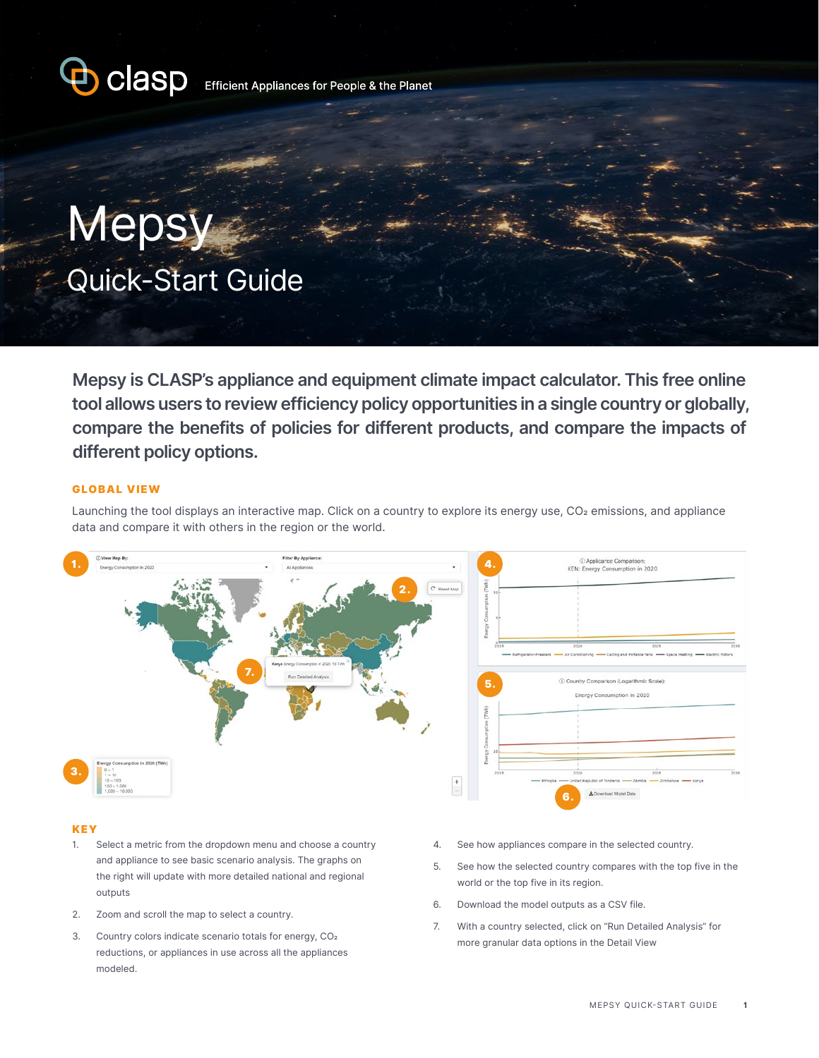

Mepsy Quick-Start Guide

**Mepsy is CLASP's appliance and equipment climate impact calculator. This free online tool allows users to review efficiency policy opportunities in a single country or globally, compare the benefits of policies for different products, and compare the impacts of different policy options.**

## GLOBAL VIEW

Launching the tool displays an interactive map. Click on a country to explore its energy use, CO<sub>2</sub> emissions, and appliance data and compare it with others in the region or the world.



### **KEY**

- 1. Select a metric from the dropdown menu and choose a country and appliance to see basic scenario analysis. The graphs on the right will update with more detailed national and regional outputs
- 2. Zoom and scroll the map to select a country.
- 3. Country colors indicate scenario totals for energy, CO2 reductions, or appliances in use across all the appliances modeled.
- 4. See how appliances compare in the selected country.
- 5. See how the selected country compares with the top five in the world or the top five in its region.
- 6. Download the model outputs as a CSV file.
- 7. With a country selected, click on "Run Detailed Analysis" for more granular data options in the Detail View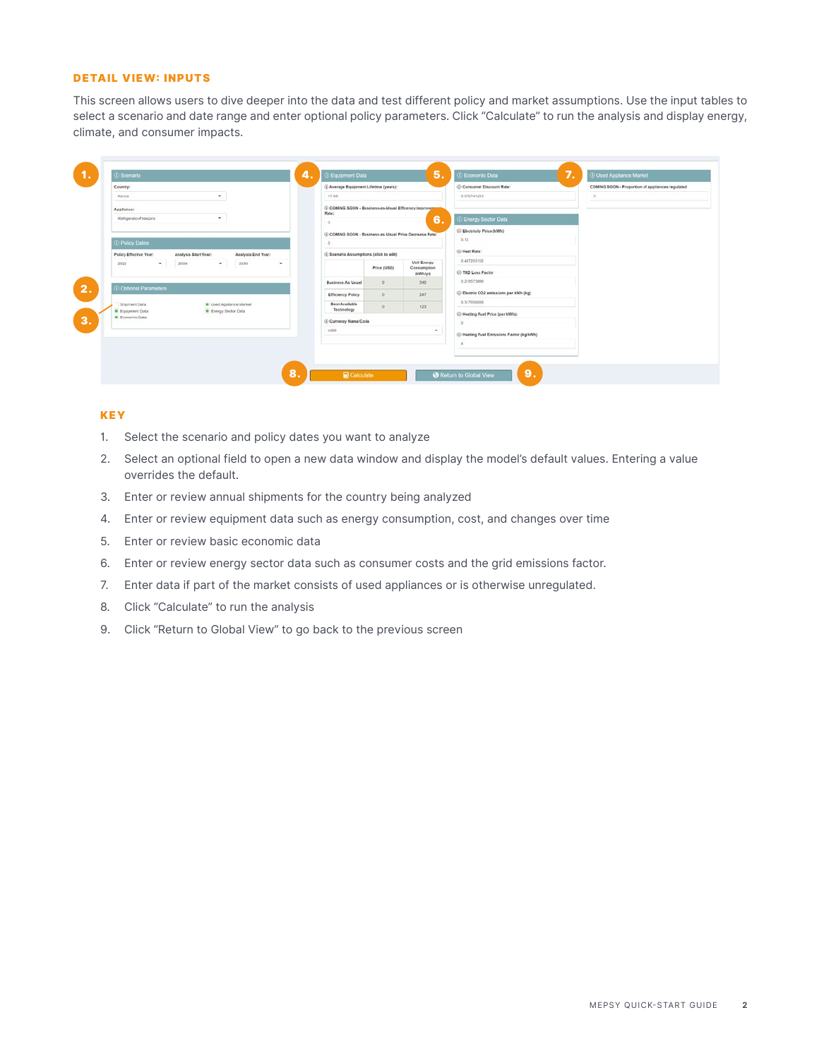### DETAIL VIEW: INPUTS

This screen allows users to dive deeper into the data and test different policy and market assumptions. Use the input tables to select a scenario and date range and enter optional policy parameters. Click "Calculate" to run the analysis and display energy, climate, and consumer impacts.

| <b><i>C</i></b> Scenario                           |                                |                    | 4.                    | <b>C</b> Equipment Data                                           |             | 5 <sub>1</sub>         | 7.<br>D Economic Data                      | D Used Appliance Market                          |
|----------------------------------------------------|--------------------------------|--------------------|-----------------------|-------------------------------------------------------------------|-------------|------------------------|--------------------------------------------|--------------------------------------------------|
| Country:                                           |                                |                    |                       | (i) Average Equipment Lifetime (years):                           |             |                        | C Consumer Discount Rate:                  | COMING SOON - Proportion of appliances regulated |
| Kenya                                              | $\tau$                         |                    |                       | $-17.68$                                                          |             |                        | 0.076741233                                | ö.                                               |
| Appliance:                                         |                                |                    |                       | (i) COMNG SOON - Business-as-Usual Efficency Improversed<br>Rate: |             |                        |                                            |                                                  |
| Rehigerator-Freezers                               | $\mathcal{L}_{\mathcal{L}}$    |                    |                       |                                                                   |             | 6.                     | <b>D</b> Energy Sector Data                |                                                  |
|                                                    |                                |                    |                       | (i) COMING SOON - Rusiness as Usual Prine Decrease Rate:          |             |                        | (i) Electricity Price (kWh)                |                                                  |
| <b>D</b> Policy Dates                              |                                |                    |                       |                                                                   |             |                        | 0.12                                       |                                                  |
| Policy Effective Year:                             | Analysis Start Year:           | Analysis End Year: |                       | (i) Scenario Assumptions (click to edit)                          |             |                        | (i) Heat Rate:                             |                                                  |
| 2022<br>$\left\vert \cdot\right\vert$<br>2005      | $\ddot{}$                      | 2030               | ۰                     |                                                                   |             | <b>Unit Energy</b>     | 0.487203102                                |                                                  |
|                                                    |                                |                    |                       |                                                                   | Price (USD) | Consumption<br>oomvyrt | (i) T&D Loss Factor                        |                                                  |
| Coptional Parameters                               |                                |                    |                       | <b>Business As Usual</b>                                          | $\circ$     | 340                    | 0.210573886                                |                                                  |
|                                                    |                                |                    |                       | <b>Efficiency Policy</b>                                          | $\circ$     | 247                    | (i) Electric CO2 emissions par kWh (kg)    |                                                  |
| Shipment Data                                      | <b>B</b> Used Appliance Market |                    | <b>Best Available</b> | $\circ$                                                           | 123         | 0.317056089            |                                            |                                                  |
| <b>B</b> Equipment Data<br><b>B</b> Freenomia Data | <b>B</b> Energy Sector Data    |                    |                       | Technology                                                        |             |                        | (i) Heating Fuel Price (per KWh);          |                                                  |
|                                                    |                                |                    |                       | (i) Currency Name/Code<br><b>USD</b>                              |             |                        |                                            |                                                  |
|                                                    |                                |                    |                       |                                                                   |             | $\bullet$              | (i) Heating Fuel Emissions Factor (kg/kWh) |                                                  |
|                                                    |                                |                    |                       |                                                                   |             |                        | a.                                         |                                                  |
|                                                    |                                |                    |                       |                                                                   |             |                        |                                            |                                                  |
|                                                    |                                |                    |                       |                                                                   |             |                        |                                            |                                                  |

# KEY

- 1. Select the scenario and policy dates you want to analyze
- 2. Select an optional field to open a new data window and display the model's default values. Entering a value overrides the default.
- 3. Enter or review annual shipments for the country being analyzed
- 4. Enter or review equipment data such as energy consumption, cost, and changes over time
- 5. Enter or review basic economic data
- 6. Enter or review energy sector data such as consumer costs and the grid emissions factor.
- 7. Enter data if part of the market consists of used appliances or is otherwise unregulated.
- 8. Click "Calculate" to run the analysis
- 9. Click "Return to Global View" to go back to the previous screen